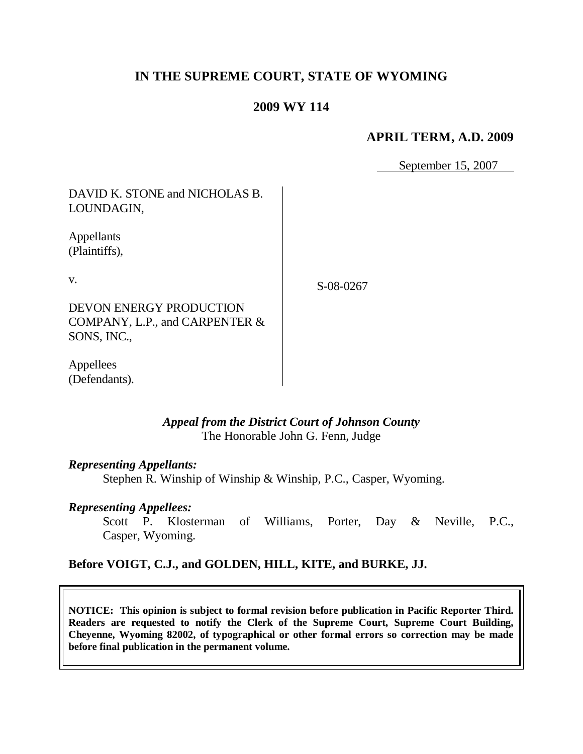# **IN THE SUPREME COURT, STATE OF WYOMING**

## **2009 WY 114**

## **APRIL TERM, A.D. 2009**

September 15, 2007

DAVID K. STONE and NICHOLAS B. LOUNDAGIN,

Appellants (Plaintiffs),

v.

S-08-0267

DEVON ENERGY PRODUCTION COMPANY, L.P., and CARPENTER & SONS, INC.,

Appellees (Defendants).

#### *Appeal from the District Court of Johnson County* The Honorable John G. Fenn, Judge

#### *Representing Appellants:*

Stephen R. Winship of Winship & Winship, P.C., Casper, Wyoming.

### *Representing Appellees:*

Scott P. Klosterman of Williams, Porter, Day & Neville, P.C., Casper, Wyoming.

### **Before VOIGT, C.J., and GOLDEN, HILL, KITE, and BURKE, JJ.**

**NOTICE: This opinion is subject to formal revision before publication in Pacific Reporter Third. Readers are requested to notify the Clerk of the Supreme Court, Supreme Court Building, Cheyenne, Wyoming 82002, of typographical or other formal errors so correction may be made before final publication in the permanent volume.**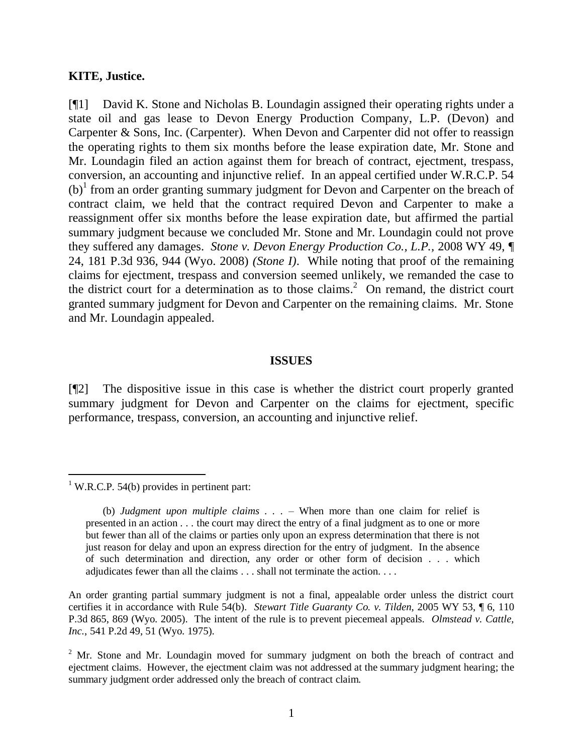#### **KITE, Justice.**

[¶1] David K. Stone and Nicholas B. Loundagin assigned their operating rights under a state oil and gas lease to Devon Energy Production Company, L.P. (Devon) and Carpenter & Sons, Inc. (Carpenter). When Devon and Carpenter did not offer to reassign the operating rights to them six months before the lease expiration date, Mr. Stone and Mr. Loundagin filed an action against them for breach of contract, ejectment, trespass, conversion, an accounting and injunctive relief. In an appeal certified under W.R.C.P. 54  $(b)$ <sup>1</sup> from an order granting summary judgment for Devon and Carpenter on the breach of contract claim, we held that the contract required Devon and Carpenter to make a reassignment offer six months before the lease expiration date, but affirmed the partial summary judgment because we concluded Mr. Stone and Mr. Loundagin could not prove they suffered any damages. *Stone v. Devon Energy Production Co., L.P.,* 2008 WY 49, ¶ 24, 181 P.3d 936, 944 (Wyo. 2008) *(Stone I)*. While noting that proof of the remaining claims for ejectment, trespass and conversion seemed unlikely, we remanded the case to the district court for a determination as to those claims. 2 On remand, the district court granted summary judgment for Devon and Carpenter on the remaining claims. Mr. Stone and Mr. Loundagin appealed.

#### **ISSUES**

[¶2] The dispositive issue in this case is whether the district court properly granted summary judgment for Devon and Carpenter on the claims for ejectment, specific performance, trespass, conversion, an accounting and injunctive relief.

 $\overline{a}$ 

 $1$  W.R.C.P. 54(b) provides in pertinent part:

<sup>(</sup>b) *Judgment upon multiple claims . . .* – When more than one claim for relief is presented in an action . . . the court may direct the entry of a final judgment as to one or more but fewer than all of the claims or parties only upon an express determination that there is not just reason for delay and upon an express direction for the entry of judgment. In the absence of such determination and direction, any order or other form of decision . . . which adjudicates fewer than all the claims . . . shall not terminate the action. . . .

An order granting partial summary judgment is not a final, appealable order unless the district court certifies it in accordance with Rule 54(b). *Stewart Title Guaranty Co. v. Tilden*, 2005 WY 53, ¶ 6, 110 P.3d 865, 869 (Wyo. 2005). The intent of the rule is to prevent piecemeal appeals. *Olmstead v. Cattle, Inc.*, 541 P.2d 49, 51 (Wyo. 1975).

 $2$  Mr. Stone and Mr. Loundagin moved for summary judgment on both the breach of contract and ejectment claims. However, the ejectment claim was not addressed at the summary judgment hearing; the summary judgment order addressed only the breach of contract claim.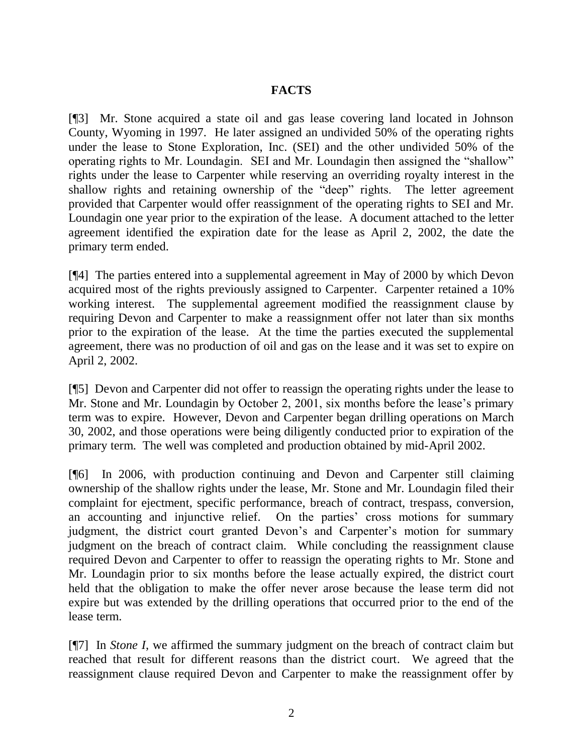# **FACTS**

[¶3] Mr. Stone acquired a state oil and gas lease covering land located in Johnson County, Wyoming in 1997. He later assigned an undivided 50% of the operating rights under the lease to Stone Exploration, Inc. (SEI) and the other undivided 50% of the operating rights to Mr. Loundagin. SEI and Mr. Loundagin then assigned the "shallow" rights under the lease to Carpenter while reserving an overriding royalty interest in the shallow rights and retaining ownership of the "deep" rights. The letter agreement provided that Carpenter would offer reassignment of the operating rights to SEI and Mr. Loundagin one year prior to the expiration of the lease. A document attached to the letter agreement identified the expiration date for the lease as April 2, 2002, the date the primary term ended.

[¶4] The parties entered into a supplemental agreement in May of 2000 by which Devon acquired most of the rights previously assigned to Carpenter. Carpenter retained a 10% working interest. The supplemental agreement modified the reassignment clause by requiring Devon and Carpenter to make a reassignment offer not later than six months prior to the expiration of the lease. At the time the parties executed the supplemental agreement, there was no production of oil and gas on the lease and it was set to expire on April 2, 2002.

[¶5] Devon and Carpenter did not offer to reassign the operating rights under the lease to Mr. Stone and Mr. Loundagin by October 2, 2001, six months before the lease's primary term was to expire. However, Devon and Carpenter began drilling operations on March 30, 2002, and those operations were being diligently conducted prior to expiration of the primary term. The well was completed and production obtained by mid-April 2002.

[¶6] In 2006, with production continuing and Devon and Carpenter still claiming ownership of the shallow rights under the lease, Mr. Stone and Mr. Loundagin filed their complaint for ejectment, specific performance, breach of contract, trespass, conversion, an accounting and injunctive relief. On the parties' cross motions for summary judgment, the district court granted Devon's and Carpenter's motion for summary judgment on the breach of contract claim. While concluding the reassignment clause required Devon and Carpenter to offer to reassign the operating rights to Mr. Stone and Mr. Loundagin prior to six months before the lease actually expired, the district court held that the obligation to make the offer never arose because the lease term did not expire but was extended by the drilling operations that occurred prior to the end of the lease term.

[¶7] In *Stone I*, we affirmed the summary judgment on the breach of contract claim but reached that result for different reasons than the district court. We agreed that the reassignment clause required Devon and Carpenter to make the reassignment offer by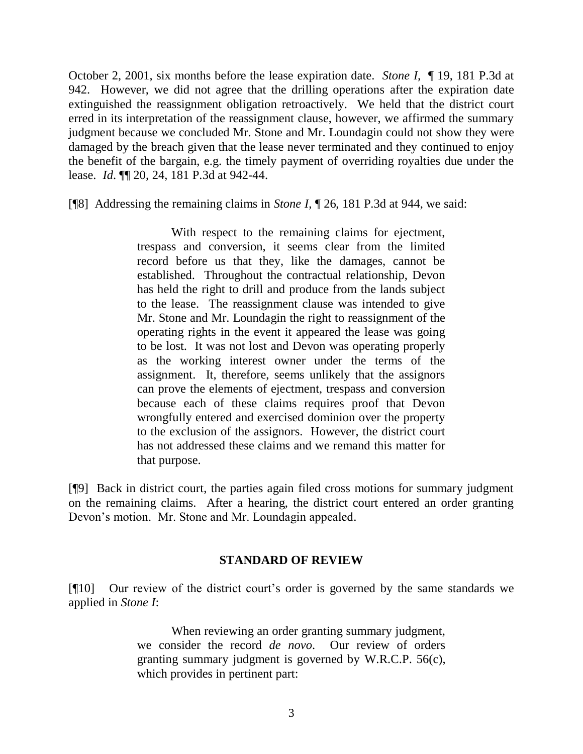October 2, 2001, six months before the lease expiration date. *Stone I,* ¶ 19, 181 P.3d at 942. However, we did not agree that the drilling operations after the expiration date extinguished the reassignment obligation retroactively. We held that the district court erred in its interpretation of the reassignment clause, however, we affirmed the summary judgment because we concluded Mr. Stone and Mr. Loundagin could not show they were damaged by the breach given that the lease never terminated and they continued to enjoy the benefit of the bargain, e.g. the timely payment of overriding royalties due under the lease. *Id*. ¶¶ 20, 24, 181 P.3d at 942-44.

[¶8] Addressing the remaining claims in *Stone I*, ¶ 26, 181 P.3d at 944, we said:

With respect to the remaining claims for ejectment, trespass and conversion, it seems clear from the limited record before us that they, like the damages, cannot be established. Throughout the contractual relationship, Devon has held the right to drill and produce from the lands subject to the lease. The reassignment clause was intended to give Mr. Stone and Mr. Loundagin the right to reassignment of the operating rights in the event it appeared the lease was going to be lost. It was not lost and Devon was operating properly as the working interest owner under the terms of the assignment. It, therefore, seems unlikely that the assignors can prove the elements of ejectment, trespass and conversion because each of these claims requires proof that Devon wrongfully entered and exercised dominion over the property to the exclusion of the assignors. However, the district court has not addressed these claims and we remand this matter for that purpose.

[¶9] Back in district court, the parties again filed cross motions for summary judgment on the remaining claims. After a hearing, the district court entered an order granting Devon's motion. Mr. Stone and Mr. Loundagin appealed.

### **STANDARD OF REVIEW**

[¶10] Our review of the district court's order is governed by the same standards we applied in *Stone I*:

> When reviewing an order granting summary judgment, we consider the record *de novo*. Our review of orders granting summary judgment is governed by W.R.C.P. 56(c), which provides in pertinent part: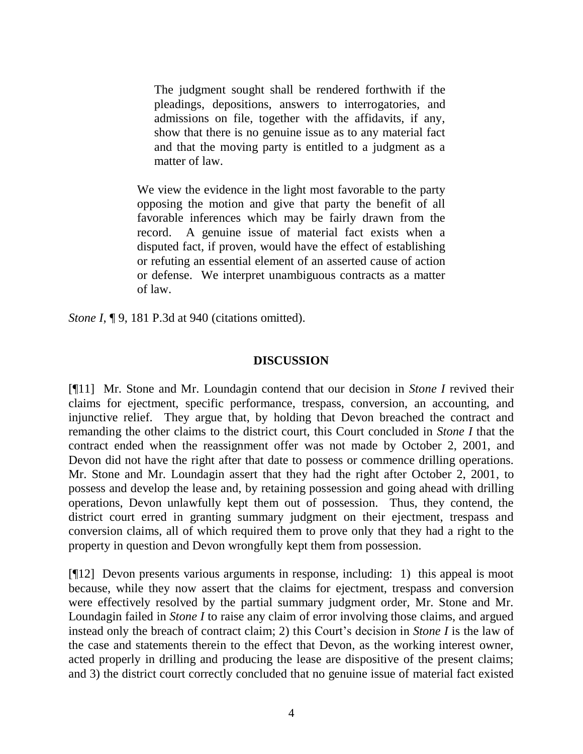The judgment sought shall be rendered forthwith if the pleadings, depositions, answers to interrogatories, and admissions on file, together with the affidavits, if any, show that there is no genuine issue as to any material fact and that the moving party is entitled to a judgment as a matter of law.

We view the evidence in the light most favorable to the party opposing the motion and give that party the benefit of all favorable inferences which may be fairly drawn from the record. A genuine issue of material fact exists when a disputed fact, if proven, would have the effect of establishing or refuting an essential element of an asserted cause of action or defense. We interpret unambiguous contracts as a matter of law.

*Stone I*, ¶ 9, 181 P.3d at 940 (citations omitted).

#### **DISCUSSION**

[¶11] Mr. Stone and Mr. Loundagin contend that our decision in *Stone I* revived their claims for ejectment, specific performance, trespass, conversion, an accounting, and injunctive relief. They argue that, by holding that Devon breached the contract and remanding the other claims to the district court, this Court concluded in *Stone I* that the contract ended when the reassignment offer was not made by October 2, 2001, and Devon did not have the right after that date to possess or commence drilling operations. Mr. Stone and Mr. Loundagin assert that they had the right after October 2, 2001, to possess and develop the lease and, by retaining possession and going ahead with drilling operations, Devon unlawfully kept them out of possession. Thus, they contend, the district court erred in granting summary judgment on their ejectment, trespass and conversion claims, all of which required them to prove only that they had a right to the property in question and Devon wrongfully kept them from possession.

[¶12] Devon presents various arguments in response, including: 1) this appeal is moot because, while they now assert that the claims for ejectment, trespass and conversion were effectively resolved by the partial summary judgment order, Mr. Stone and Mr. Loundagin failed in *Stone I* to raise any claim of error involving those claims, and argued instead only the breach of contract claim; 2) this Court's decision in *Stone I* is the law of the case and statements therein to the effect that Devon, as the working interest owner, acted properly in drilling and producing the lease are dispositive of the present claims; and 3) the district court correctly concluded that no genuine issue of material fact existed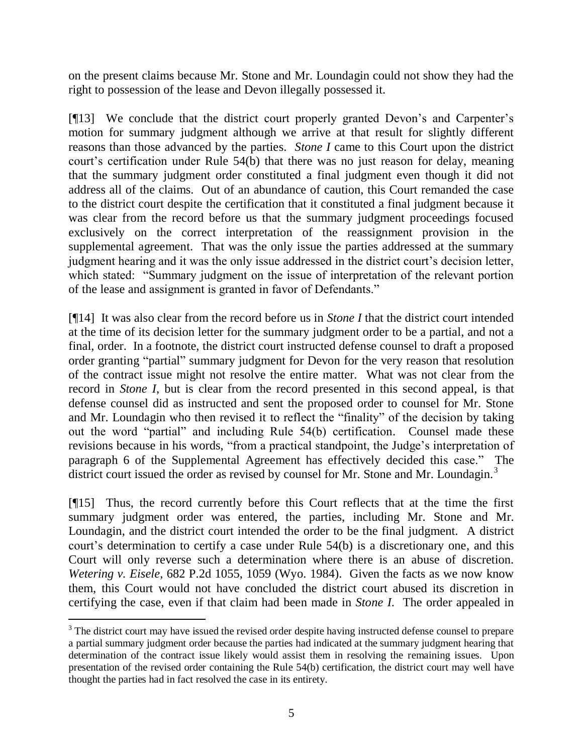on the present claims because Mr. Stone and Mr. Loundagin could not show they had the right to possession of the lease and Devon illegally possessed it.

[¶13] We conclude that the district court properly granted Devon's and Carpenter's motion for summary judgment although we arrive at that result for slightly different reasons than those advanced by the parties. *Stone I* came to this Court upon the district court's certification under Rule 54(b) that there was no just reason for delay, meaning that the summary judgment order constituted a final judgment even though it did not address all of the claims. Out of an abundance of caution, this Court remanded the case to the district court despite the certification that it constituted a final judgment because it was clear from the record before us that the summary judgment proceedings focused exclusively on the correct interpretation of the reassignment provision in the supplemental agreement. That was the only issue the parties addressed at the summary judgment hearing and it was the only issue addressed in the district court's decision letter, which stated: "Summary judgment on the issue of interpretation of the relevant portion of the lease and assignment is granted in favor of Defendants."

[¶14] It was also clear from the record before us in *Stone I* that the district court intended at the time of its decision letter for the summary judgment order to be a partial, and not a final, order. In a footnote, the district court instructed defense counsel to draft a proposed order granting "partial" summary judgment for Devon for the very reason that resolution of the contract issue might not resolve the entire matter. What was not clear from the record in *Stone I*, but is clear from the record presented in this second appeal, is that defense counsel did as instructed and sent the proposed order to counsel for Mr. Stone and Mr. Loundagin who then revised it to reflect the "finality" of the decision by taking out the word "partial" and including Rule 54(b) certification. Counsel made these revisions because in his words, "from a practical standpoint, the Judge's interpretation of paragraph 6 of the Supplemental Agreement has effectively decided this case." The district court issued the order as revised by counsel for Mr. Stone and Mr. Loundagin.<sup>3</sup>

[¶15] Thus, the record currently before this Court reflects that at the time the first summary judgment order was entered, the parties, including Mr. Stone and Mr. Loundagin, and the district court intended the order to be the final judgment. A district court's determination to certify a case under Rule 54(b) is a discretionary one, and this Court will only reverse such a determination where there is an abuse of discretion. *Wetering v. Eisele*, 682 P.2d 1055, 1059 (Wyo. 1984). Given the facts as we now know them, this Court would not have concluded the district court abused its discretion in certifying the case, even if that claim had been made in *Stone I*. The order appealed in

 $\overline{a}$ 

<sup>&</sup>lt;sup>3</sup> The district court may have issued the revised order despite having instructed defense counsel to prepare a partial summary judgment order because the parties had indicated at the summary judgment hearing that determination of the contract issue likely would assist them in resolving the remaining issues. Upon presentation of the revised order containing the Rule 54(b) certification, the district court may well have thought the parties had in fact resolved the case in its entirety.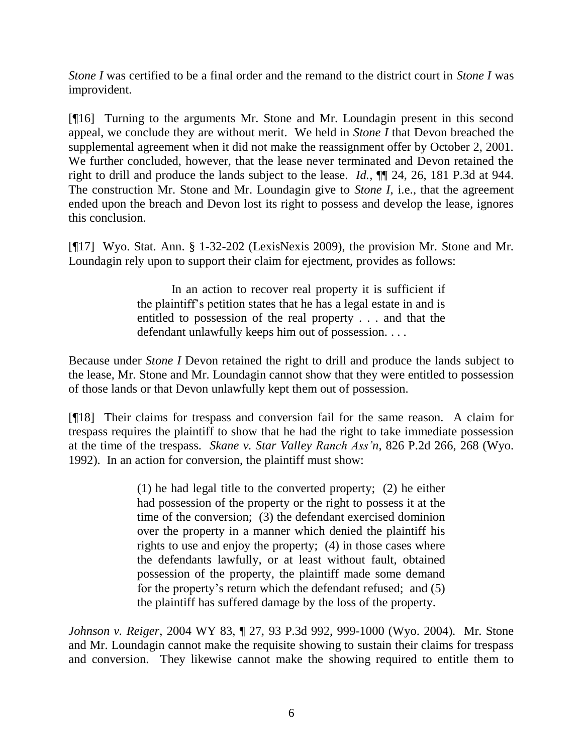*Stone I* was certified to be a final order and the remand to the district court in *Stone I* was improvident.

[¶16] Turning to the arguments Mr. Stone and Mr. Loundagin present in this second appeal, we conclude they are without merit. We held in *Stone I* that Devon breached the supplemental agreement when it did not make the reassignment offer by October 2, 2001. We further concluded, however, that the lease never terminated and Devon retained the right to drill and produce the lands subject to the lease. *Id.,* ¶¶ 24, 26, 181 P.3d at 944. The construction Mr. Stone and Mr. Loundagin give to *Stone I*, i.e., that the agreement ended upon the breach and Devon lost its right to possess and develop the lease, ignores this conclusion.

[¶17] Wyo. Stat. Ann. § 1-32-202 (LexisNexis 2009), the provision Mr. Stone and Mr. Loundagin rely upon to support their claim for ejectment, provides as follows:

> In an action to recover real property it is sufficient if the plaintiff's petition states that he has a legal estate in and is entitled to possession of the real property . . . and that the defendant unlawfully keeps him out of possession. . . .

Because under *Stone I* Devon retained the right to drill and produce the lands subject to the lease, Mr. Stone and Mr. Loundagin cannot show that they were entitled to possession of those lands or that Devon unlawfully kept them out of possession.

[¶18] Their claims for trespass and conversion fail for the same reason. A claim for trespass requires the plaintiff to show that he had the right to take immediate possession at the time of the trespass. *Skane v. Star Valley Ranch Ass'n*, 826 P.2d 266, 268 (Wyo. 1992). In an action for conversion, the plaintiff must show:

> (1) he had legal title to the converted property; (2) he either had possession of the property or the right to possess it at the time of the conversion; (3) the defendant exercised dominion over the property in a manner which denied the plaintiff his rights to use and enjoy the property; (4) in those cases where the defendants lawfully, or at least without fault, obtained possession of the property, the plaintiff made some demand for the property's return which the defendant refused; and (5) the plaintiff has suffered damage by the loss of the property.

*Johnson v. Reiger*, 2004 WY 83, ¶ 27, 93 P.3d 992, 999-1000 (Wyo. 2004). Mr. Stone and Mr. Loundagin cannot make the requisite showing to sustain their claims for trespass and conversion. They likewise cannot make the showing required to entitle them to